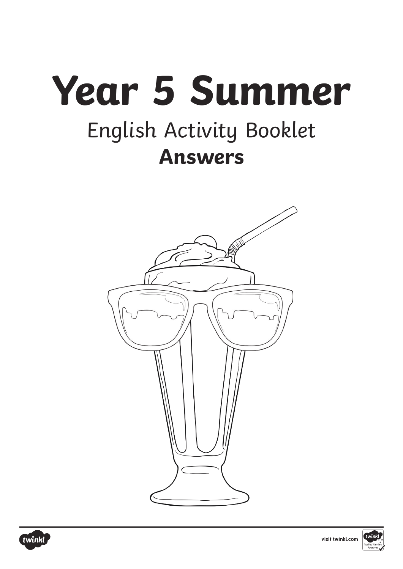# **Year 5 Summer** English Activity Booklet **Answers**





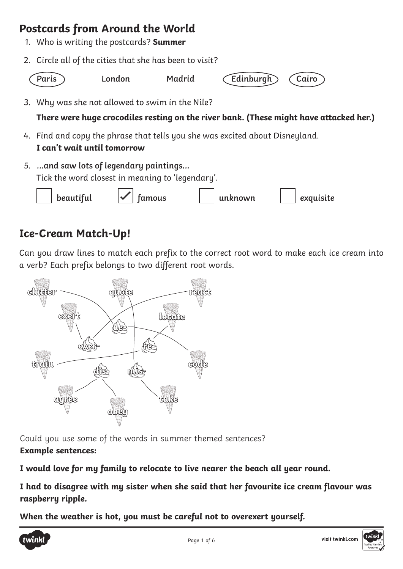## **Postcards from Around the World**

- 1. Who is writing the postcards? **Summer**
- 2. Circle all of the cities that she has been to visit?



```
Paris London Madrid Edinburgh Cairo
```
3. Why was she not allowed to swim in the Nile?

**There were huge crocodiles resting on the river bank. (These might have attacked her.)**

- 4. Find and copy the phrase that tells you she was excited about Disneyland. **I can't wait until tomorrow**
- 5. **...and saw lots of legendary paintings...** Tick the word closest in meaning to 'legendary'.

|  | beautiful | $\checkmark$<br>tamous |  | unknown |  | exquisite |
|--|-----------|------------------------|--|---------|--|-----------|
|--|-----------|------------------------|--|---------|--|-----------|

## **Ice-Cream Match-Up!**

Can you draw lines to match each prefix to the correct root word to make each ice cream into a verb? Each prefix belongs to two different root words.



Could you use some of the words in summer themed sentences? **Example sentences:**

**I would love for my family to relocate to live nearer the beach all year round.**

**I had to disagree with my sister when she said that her favourite ice cream flavour was raspberry ripple.**

**When the weather is hot, you must be careful not to overexert yourself.**



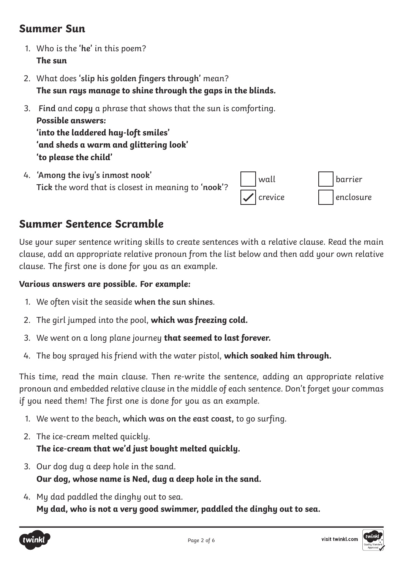### **Summer Sun**

- 1. Who is the **'he'** in this poem? **The sun**
- 2. What does **'slip his golden fingers through'** mean? **The sun rays manage to shine through the gaps in the blinds.**
- 3. **Find** and **copy** a phrase that shows that the sun is comforting. **Possible answers: 'into the laddered hay-loft smiles' 'and sheds a warm and glittering look' 'to please the child'**
- 4. **'Among the ivy's inmost nook' Tick** the word that is closest in meaning to **'nook'**?



## **Summer Sentence Scramble**

Use your super sentence writing skills to create sentences with a relative clause. Read the main clause, add an appropriate relative pronoun from the list below and then add your own relative clause. The first one is done for you as an example.

#### **Various answers are possible. For example:**

- 1. We often visit the seaside **when the sun shines**.
- 2. The girl jumped into the pool, **which was freezing cold.**
- 3. We went on a long plane journey **that seemed to last forever.**
- 4. The boy sprayed his friend with the water pistol, **which soaked him through.**

This time, read the main clause. Then re-write the sentence, adding an appropriate relative pronoun and embedded relative clause in the middle of each sentence. Don't forget your commas if you need them! The first one is done for you as an example.

- 1. We went to the beach**, which was on the east coast,** to go surfing.
- 2. The ice-cream melted quickly. **The ice-cream that we'd just bought melted quickly.**
- 3. Our dog dug a deep hole in the sand. **Our dog, whose name is Ned, dug a deep hole in the sand.**
- 4. My dad paddled the dinghy out to sea. **My dad, who is not a very good swimmer, paddled the dinghy out to sea.**

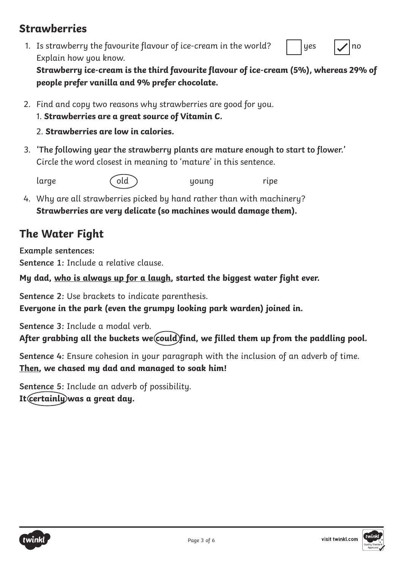## **Strawberries**

1. Is strawberry the favourite flavour of ice-cream in the world? Explain how you know.

yes  $|\mathcal{J}|$  no

**Strawberry ice-cream is the third favourite flavour of ice-cream (5%), whereas 29% of people prefer vanilla and 9% prefer chocolate.**

- 2. Find and copy two reasons why strawberries are good for you.
	- 1. **Strawberries are a great source of Vitamin C.**

#### 2. **Strawberries are low in calories.**

3. **'The following year the strawberry plants are mature enough to start to flower.'** Circle the word closest in meaning to 'mature' in this sentence.

large (old ) young ripe

4. Why are all strawberries picked by hand rather than with machinery? **Strawberries are very delicate (so machines would damage them).**

## **The Water Fight**

**Example sentences: Sentence 1:** Include a relative clause.

**My dad, who is always up for a laugh, started the biggest water fight ever.**

**Sentence 2:** Use brackets to indicate parenthesis. **Everyone in the park (even the grumpy looking park warden) joined in.**

**Sentence 3:** Include a modal verb. After grabbing all the buckets we could find, we filled them up from the paddling pool.

**Sentence 4:** Ensure cohesion in your paragraph with the inclusion of an adverb of time. **Then, we chased my dad and managed to soak him!**

**Sentence 5:** Include an adverb of possibility. **It certainly was a great day.**

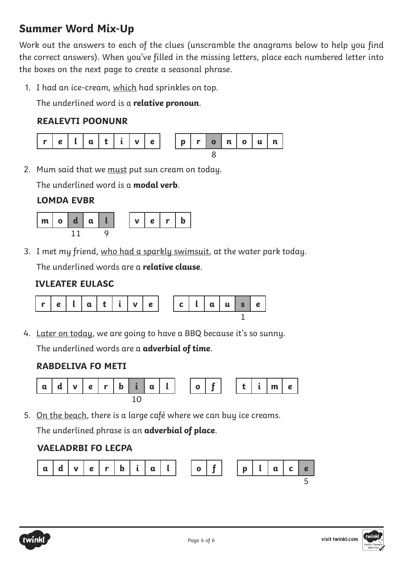## **Summer Word Mix-Up**

Work out the answers to each of the clues (unscramble the anagrams below to help you find the correct answers). When you've filled in the missing letters, place each numbered letter into the boxes on the next page to create a seasonal phrase.

1. I had an ice-cream, which had sprinkles on top.

The underlined word is a **relative pronoun**.

#### **REALEVTI POONUNR**



2. Mum said that we must put sun cream on today.

The underlined word is a **modal verb**.

#### **LOMDA EVBR**



3. I met my friend, who had a sparkly swimsuit, at the water park today. The underlined words are a **relative clause**.

#### **IVLEATER EULASC**



4. Later on today, we are going to have a BBQ because it's so sunny. The underlined words are a **adverbial of time**.

#### **RABDELIVA FO METI**



5. On the beach, there is a large café where we can buy ice creams.

The underlined phrase is an **adverbial of place**.

#### **VAELADRBI FO LECPA**



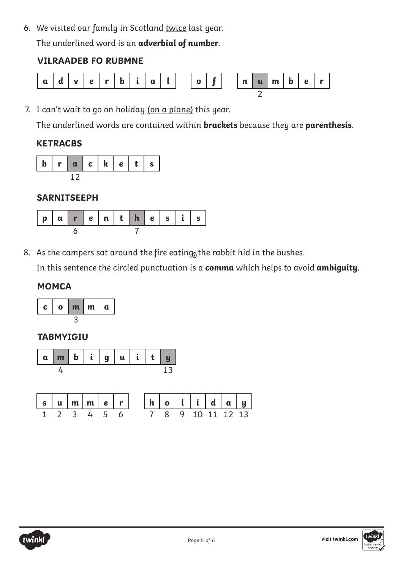6. We visited our family in Scotland twice last year.

The underlined word is an **adverbial of number**.

#### **VILRAADEB FO RUBMNE**



7. I can't wait to go on holiday (on a plane) this year.

The underlined words are contained within **brackets** because they are **parenthesis**.

#### **KETRACBS**



#### **SARNITSEEPH**

8. As the campers sat around the fire eating<sub>0</sub> the rabbit hid in the bushes.

In this sentence the circled punctuation is a **comma** which helps to avoid **ambiguity**.

#### **MOMCA**



#### **TABMYIGIU**